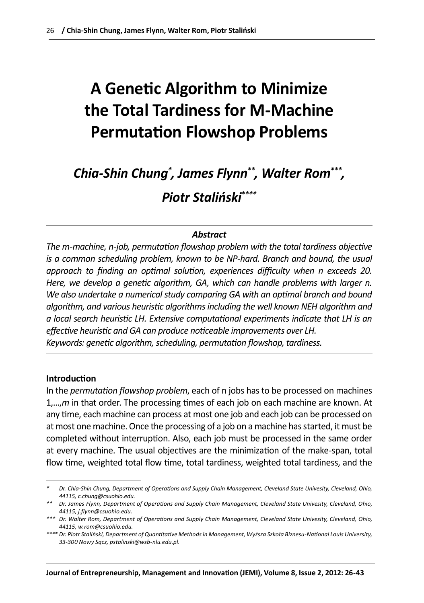# **A Genetic Algorithm to Minimize the Total Tardiness for M-Machine Permutation Flowshop Problems**

*Chia-Shin Chung\* , James Flynn\*\*, Walter Rom\*\*\*, Piotr Staliński\*\*\*\**

### *Abstract*

*The m-machine, n-job, permutation flowshop problem with the total tardiness objective*  is a common scheduling problem, known to be NP-hard. Branch and bound, the usual *approach to finding an optimal solution, experiences difficulty when n exceeds 20. Here, we develop a genetic algorithm, GA, which can handle problems with larger n.*  We also undertake a numerical study comparing GA with an optimal branch and bound *algorithm, and various heuristic algorithms including the well known NEH algorithm and a local search heuristic LH. Extensive computational experiments indicate that LH is an effective heuristic and GA can produce noticeable improvements over LH. Keywords: genetic algorithm, scheduling, permutation flowshop, tardiness.*

#### **Introduction**

In the *permutation flowshop problem*, each of n jobs has to be processed on machines 1,…,*m* in that order. The processing times of each job on each machine are known. At any time, each machine can process at most one job and each job can be processed on at most one machine. Once the processing of a job on a machine has started, it must be completed without interruption. Also, each job must be processed in the same order at every machine. The usual objectives are the minimization of the make-span, total flow time, weighted total flow time, total tardiness, weighted total tardiness, and the

*<sup>\*</sup> Dr. Chia-Shin Chung, Department of Operations and Supply Chain Management, Cleveland State Univesity, Cleveland, Ohio, 44115, c.chung@csuohio.edu.*

*<sup>\*\*</sup> Dr. James Flynn, Department of Operations and Supply Chain Management, Cleveland State Univesity, Cleveland, Ohio, 44115, j.flynn@csuohio.edu.*

*<sup>\*\*\*</sup> Dr. Walter Rom, Department of Operations and Supply Chain Management, Cleveland State Univesity, Cleveland, Ohio, 44115, w.rom@csuohio.edu.*

*<sup>\*\*\*\*</sup> Dr. Piotr Staliński, Department of Quantitative Methods in Management, Wyższa Szkoła Biznesu-National Louis University, 33-300 Nowy Sącz, pstalinski@wsb-nlu.edu.pl.*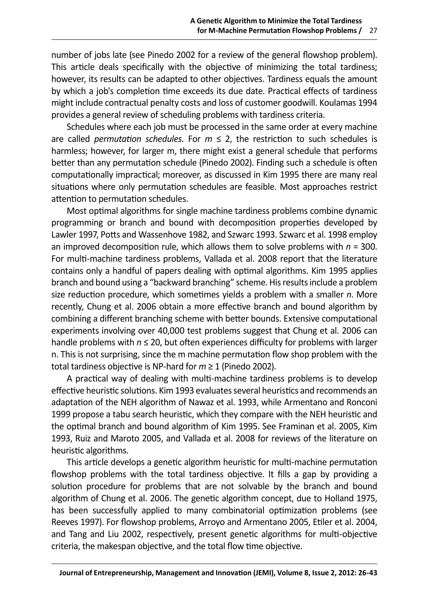number of jobs late (see Pinedo 2002 for a review of the general flowshop problem). This article deals specifically with the objective of minimizing the total tardiness; however, its results can be adapted to other objectives. Tardiness equals the amount by which a job's completion time exceeds its due date. Practical effects of tardiness might include contractual penalty costs and loss of customer goodwill. Koulamas 1994 provides a general review of scheduling problems with tardiness criteria.

Schedules where each job must be processed in the same order at every machine are called *permutation schedules*. For  $m \le 2$ , the restriction to such schedules is harmless; however, for larger m, there might exist a general schedule that performs better than any permutation schedule (Pinedo 2002). Finding such a schedule is often computationally impractical; moreover, as discussed in Kim 1995 there are many real situations where only permutation schedules are feasible. Most approaches restrict attention to permutation schedules.

Most optimal algorithms for single machine tardiness problems combine dynamic programming or branch and bound with decomposition properties developed by Lawler 1997, Potts and Wassenhove 1982, and Szwarc 1993. Szwarc et al. 1998 employ an improved decomposition rule, which allows them to solve problems with *n* = 300. For multi-machine tardiness problems, Vallada et al. 2008 report that the literature contains only a handful of papers dealing with optimal algorithms. Kim 1995 applies branch and bound using a "backward branching" scheme. His results include a problem size reduction procedure, which sometimes yields a problem with a smaller *n*. More recently, Chung et al. 2006 obtain a more effective branch and bound algorithm by combining a different branching scheme with better bounds. Extensive computational experiments involving over 40,000 test problems suggest that Chung et al. 2006 can handle problems with *n* ≤ 20, but often experiences difficulty for problems with larger n. This is not surprising, since the m machine permutation flow shop problem with the total tardiness objective is NP-hard for *m* ≥ 1 (Pinedo 2002).

A practical way of dealing with multi-machine tardiness problems is to develop effective heuristic solutions. Kim 1993 evaluates several heuristics and recommends an adaptation of the NEH algorithm of Nawaz et al. 1993, while Armentano and Ronconi 1999 propose a tabu search heuristic, which they compare with the NEH heuristic and the optimal branch and bound algorithm of Kim 1995. See Framinan et al. 2005, Kim 1993, Ruiz and Maroto 2005, and Vallada et al. 2008 for reviews of the literature on heuristic algorithms.

This article develops a genetic algorithm heuristic for multi-machine permutation flowshop problems with the total tardiness objective. It fills a gap by providing a solution procedure for problems that are not solvable by the branch and bound algorithm of Chung et al. 2006. The genetic algorithm concept, due to Holland 1975, has been successfully applied to many combinatorial optimization problems (see Reeves 1997). For flowshop problems, Arroyo and Armentano 2005, Etiler et al. 2004, and Tang and Liu 2002, respectively, present genetic algorithms for multi-objective criteria, the makespan objective, and the total flow time objective.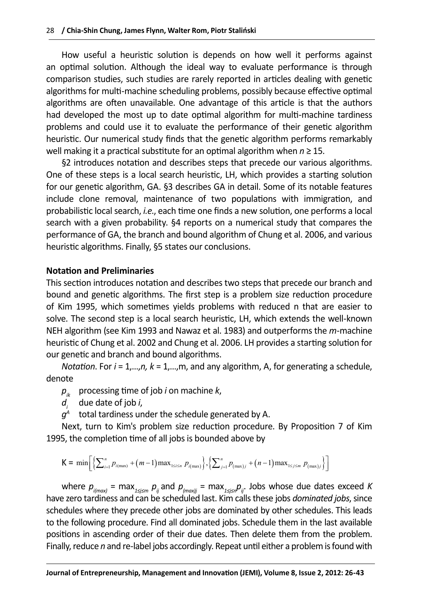How useful a heuristic solution is depends on how well it performs against an optimal solution. Although the ideal way to evaluate performance is through comparison studies, such studies are rarely reported in articles dealing with genetic algorithms for multi-machine scheduling problems, possibly because effective optimal algorithms are often unavailable. One advantage of this article is that the authors had developed the most up to date optimal algorithm for multi-machine tardiness problems and could use it to evaluate the performance of their genetic algorithm heuristic. Our numerical study finds that the genetic algorithm performs remarkably well making it a practical substitute for an optimal algorithm when *n* ≥ 15.

§2 introduces notation and describes steps that precede our various algorithms. One of these steps is a local search heuristic, LH, which provides a starting solution for our genetic algorithm, GA. §3 describes GA in detail. Some of its notable features include clone removal, maintenance of two populations with immigration, and probabilistic local search, *i.e*., each time one finds a new solution, one performs a local search with a given probability. §4 reports on a numerical study that compares the performance of GA, the branch and bound algorithm of Chung et al. 2006, and various heuristic algorithms. Finally, §5 states our conclusions.

## **Notation and Preliminaries**

This section introduces notation and describes two steps that precede our branch and bound and genetic algorithms. The first step is a problem size reduction procedure of Kim 1995, which sometimes yields problems with reduced n that are easier to solve. The second step is a local search heuristic, LH, which extends the well-known NEH algorithm (see Kim 1993 and Nawaz et al. 1983) and outperforms the *m*-machine heuristic of Chung et al. 2002 and Chung et al. 2006. LH provides a starting solution for our genetic and branch and bound algorithms.

*Notation*. For *i* = 1,…,*n, k* = 1,…,m, and any algorithm, A, for generating a schedule, denote

- *pik* processing time of job *i* on machine *k*,
- *di* due date of job *i*,

 $q^A$  total tardiness under the schedule generated by A.

Next, turn to Kim's problem size reduction procedure. By Proposition 7 of Kim 1995, the completion time of all jobs is bounded above by

$$
K = \min \bigg[ \Big\{ \sum_{i=1}^{n} p_{i(\max)} + (m-1) \max_{1 \leq i \leq n} p_{i(\max)} \Big\}, \Big\{ \sum_{j=1}^{n} p_{(\max)j} + (n-1) \max_{1 \leq j \leq m} p_{(\max)j} \Big\} \bigg]
$$

where *pi(max)* = max*1≤j≤m pij* and *p(max)j* = max*1≤j≤npij*. Jobs whose due dates exceed *K* have zero tardiness and can be scheduled last. Kim calls these jobs *dominated jobs*, since schedules where they precede other jobs are dominated by other schedules. This leads to the following procedure. Find all dominated jobs. Schedule them in the last available positions in ascending order of their due dates. Then delete them from the problem. Finally, reduce *n* and re-label jobs accordingly. Repeat until either a problem is found with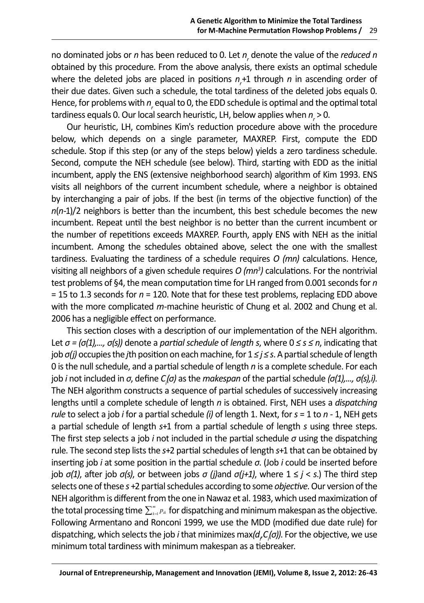no dominated jobs or *n* has been reduced to 0. Let *nr* denote the value of the *reduced n* obtained by this procedure. From the above analysis, there exists an optimal schedule where the deleted jobs are placed in positions  $n_r$ +1 through  $n$  in ascending order of their due dates. Given such a schedule, the total tardiness of the deleted jobs equals 0. Hence, for problems with  $n_{\rho}$  equal to 0, the EDD schedule is optimal and the optimal total tardiness equals 0. Our local search heuristic, LH, below applies when  $n_{_{\rm r}}$  > 0.

Our heuristic, LH, combines Kim's reduction procedure above with the procedure below, which depends on a single parameter, MAXREP. First, compute the EDD schedule. Stop if this step (or any of the steps below) yields a zero tardiness schedule. Second, compute the NEH schedule (see below). Third, starting with EDD as the initial incumbent, apply the ENS (extensive neighborhood search) algorithm of Kim 1993. ENS visits all neighbors of the current incumbent schedule, where a neighbor is obtained by interchanging a pair of jobs. If the best (in terms of the objective function) of the *n*(*n*-1)/2 neighbors is better than the incumbent, this best schedule becomes the new incumbent. Repeat until the best neighbor is no better than the current incumbent or the number of repetitions exceeds MAXREP. Fourth, apply ENS with NEH as the initial incumbent. Among the schedules obtained above, select the one with the smallest tardiness. Evaluating the tardiness of a schedule requires *O (mn)* calculations. Hence, visiting all neighbors of a given schedule requires *O (mn3 )* calculations. For the nontrivial test problems of §4, the mean computation time for LH ranged from 0.001 seconds for *n* = 15 to 1.3 seconds for *n* = 120. Note that for these test problems, replacing EDD above with the more complicated *m*-machine heuristic of Chung et al. 2002 and Chung et al. 2006 has a negligible effect on performance.

This section closes with a description of our implementation of the NEH algorithm. Let *σ = (σ(1),..., σ(s))* denote a *partial schedule* of *length s*, where 0 *≤ s ≤ n*, indicating that job *σ(j)* occupies the *j*th position on each machine, for 1 *≤ j ≤ s*. A partial schedule of length 0 is the null schedule, and a partial schedule of length *n* is a complete schedule. For each job *i* not included in *σ*, define *Ci (σ)* as the *makespan* of the partial schedule *(σ(1),..., σ(s),i)*. The NEH algorithm constructs a sequence of partial schedules of successively increasing lengths until a complete schedule of length *n* is obtained. First, NEH uses a *dispatching rule* to select a job *i* for a partial schedule *(i)* of length 1. Next, for *s* = 1 to *n -* 1, NEH gets a partial schedule of length *s*+1 from a partial schedule of length *s* using three steps. The first step selects a job *i* not included in the partial schedule *σ* using the dispatching rule. The second step lists the *s*+2 partial schedules of length *s*+1 that can be obtained by inserting job *i* at some position in the partial schedule *σ*. (Job *i* could be inserted before job *σ(1)*, after job *σ(s)*, or between jobs *σ (j)*and *σ(j+1)*, where 1 ≤ *j* < *s*.) The third step selects one of these *s* +2 partial schedules according to some *objective*. Our version of the NEH algorithm is different from the one in Nawaz et al. 1983, which used maximization of the total processing time  $\sum_{k=1}^m p_{ik}$  for dispatching and minimum makespan as the objective. Following Armentano and Ronconi 1999, we use the MDD (modified due date rule) for dispatching, which selects the job *i* that minimizes max(d<sub>,</sub>C<sub>,</sub>(σ)). For the objective, we use minimum total tardiness with minimum makespan as a tiebreaker.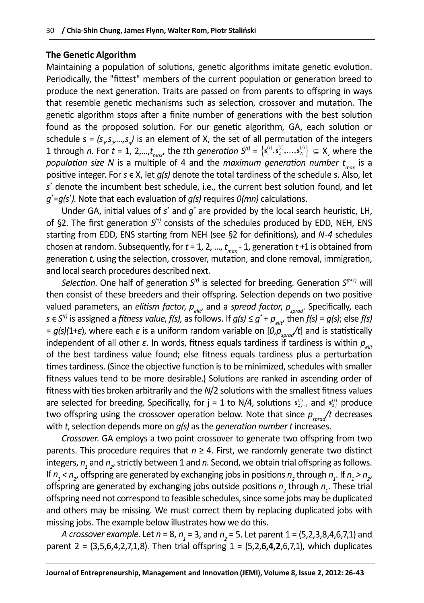## **The Genetic Algorithm**

Maintaining a population of solutions, genetic algorithms imitate genetic evolution. Periodically, the "fittest" members of the current population or generation breed to produce the next generation. Traits are passed on from parents to offspring in ways that resemble genetic mechanisms such as selection, crossover and mutation. The genetic algorithm stops after a finite number of generations with the best solution found as the proposed solution. For our genetic algorithm, GA, each solution or schedule  $s = (s_{1}, s_{2},...,s_{n})$  is an element of X, the set of all permutation of the integers 1 through *n*. For  $t = 1$ , 2,..., $t_{max}$ , the tth generation  $S^{(t)} = \{s_1^{(t)}, s_2^{(t)},..., s_N^{(t)}\} \subseteq X$ , where the *population size N* is a multiple of 4 and the *maximum generation number t<sub>max</sub>* is a positive integer. For  $s \in X$ , let  $q(s)$  denote the total tardiness of the schedule s. Also, let *s\** denote the incumbent best schedule, i.e., the current best solution found, and let *g\* =g(s\* )*. Note that each evaluation of *g(s)* requires *0(mn)* calculations.

Under GA, initial values of *s\** and *g\** are provided by the local search heuristic, LH, of §2. The first generation *S(1)* consists of the schedules produced by EDD, NEH, ENS starting from EDD, ENS starting from NEH (see §2 for definitions), and *N-4* schedules chosen at random. Subsequently, for *t* = 1, 2, ..., *t max* - 1, generation *t* +1 is obtained from generation *t*, using the selection, crossover, mutation, and clone removal, immigration, and local search procedures described next.

*Selection*. One half of generation *S(t)* is selected for breeding. Generation *S(t+1)* will then consist of these breeders and their offspring. Selection depends on two positive valued parameters, an *elitism factor*,  $p_{\text{air}}$ , and a *spread factor*,  $p_{\text{good}}$ . Specifically, each *s*  $\in$  *S*<sup>(t)</sup> is assigned a *fitness value, f(s)*, as follows. If *g(s)*  $\leq$  *g*<sup>\*</sup> + *p<sub>olit</sub>*, then *f(s)* = *g(s)*; else *f(s)* =  $g(s)(1+\varepsilon)$ , where each  $\varepsilon$  is a uniform random variable on  $[0, p_{\text{good}}/t]$  and is statistically independent of all other  $\varepsilon$ . In words, fitness equals tardiness if tardiness is within  $p_{\text{eff}}$ of the best tardiness value found; else fitness equals tardiness plus a perturbation times tardiness. (Since the objective function is to be minimized, schedules with smaller fitness values tend to be more desirable.) Solutions are ranked in ascending order of fitness with ties broken arbitrarily and the *N*/2 solutions with the smallest fitness values are selected for breeding. Specifically, for  $j = 1$  to N/4, solutions  $s_{2j-1}^{(t)}$  and  $s_{2j}^{(t)}$  produce two offspring using the crossover operation below. Note that since  $p_{\text{send}}/t$  decreases with *t*, selection depends more on *g(s)* as the *generation number t* increases.

*Crossover*. GA employs a two point crossover to generate two offspring from two parents. This procedure requires that *n* ≥ 4. First, we randomly generate two distinct integers,  $n_{_1}$  and  $n_{_2}$ , strictly between 1 and  $n$ . Second, we obtain trial offspring as follows. If  $n_1 < n_2$ , offspring are generated by exchanging jobs in positions  $n_2$  through  $n_1$ . If  $n_1 > n_2$ , offspring are generated by exchanging jobs outside positions  $n_2$  through  $n_1$ . These trial offspring need not correspond to feasible schedules, since some jobs may be duplicated and others may be missing. We must correct them by replacing duplicated jobs with missing jobs. The example below illustrates how we do this.

*A crossover example*. Let *n* = 8, *n*<sub>1</sub> = 3, and *n*<sub>2</sub> = 5. Let parent 1 = (5,2,3,8,4,6,7,1) and parent 2 = (3,5,6,4,2,7,1,8). Then trial offspring 1 = (5,2,**6,4,2**,6,7,1), which duplicates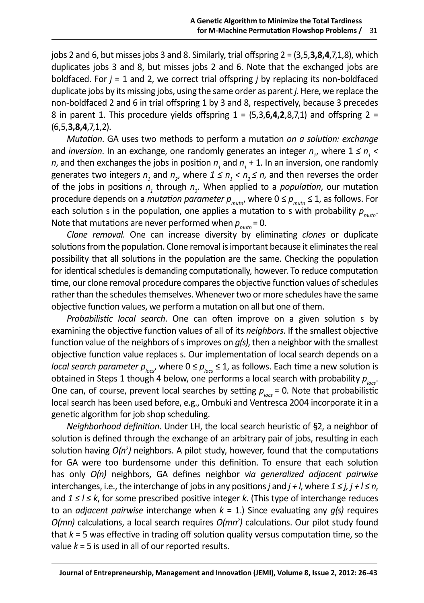jobs 2 and 6, but misses jobs 3 and 8. Similarly, trial offspring 2 = (3,5,**3,8,4**,7,1,8), which duplicates jobs 3 and 8, but misses jobs 2 and 6. Note that the exchanged jobs are boldfaced. For *j* = 1 and 2, we correct trial offspring *j* by replacing its non-boldfaced duplicate jobs by its missing jobs, using the same order as parent *j*. Here, we replace the non-boldfaced 2 and 6 in trial offspring 1 by 3 and 8, respectively, because 3 precedes 8 in parent 1. This procedure yields offspring 1 = (5,3,**6,4,2**,8,7,1) and offspring 2 = (6,5,**3,8,4**,7,1,2).

*Mutation*. GA uses two methods to perform a mutation *on a solution: exchange* and *inversion*. In an exchange, one randomly generates an integer  $n_{j}$ , where  $1 \leq n_{j}$  < *n*, and then exchanges the jobs in position  $n_{_1}$  and  $n_{_1}$  + 1. In an inversion, one randomly generates two integers  $n_1$  and  $n_2$ , where  $1 \leq n_1 < n_2 \leq n$ , and then reverses the order of the jobs in positions  $n<sub>1</sub>$  through  $n<sub>2</sub>$ . When applied to a *population*, our mutation procedure depends on a *mutation parameter*  $p_{muto}$ , where  $0 \le p_{muto} \le 1$ , as follows. For each solution s in the population, one applies a mutation to s with probability  $p_{\text{muth}}$ . Note that mutations are never performed when  $p_{\text{muth}} = 0$ .

*Clone removal*. One can increase diversity by eliminating *clones* or duplicate solutions from the population. Clone removal is important because it eliminates the real possibility that all solutions in the population are the same. Checking the population for identical schedules is demanding computationally, however. To reduce computation time, our clone removal procedure compares the objective function values of schedules rather than the schedules themselves. Whenever two or more schedules have the same objective function values, we perform a mutation on all but one of them.

*Probabilistic local search*. One can often improve on a given solution s by examining the objective function values of all of its *neighbors*. If the smallest objective function value of the neighbors of s improves on *g(s)*, then a neighbor with the smallest objective function value replaces s. Our implementation of local search depends on a *local search parameter*  $p_{\text{loc}}$ , where  $0 \le p_{\text{loc}} \le 1$ , as follows. Each time a new solution is obtained in Steps 1 though 4 below, one performs a local search with probability  $p_{\text{loc}}$ . One can, of course, prevent local searches by setting  $p_{\text{loss}} = 0$ . Note that probabilistic local search has been used before, e.g., Ombuki and Ventresca 2004 incorporate it in a genetic algorithm for job shop scheduling.

*Neighborhood definition*. Under LH, the local search heuristic of §2, a neighbor of solution is defined through the exchange of an arbitrary pair of jobs, resulting in each solution having *O(n2 )* neighbors. A pilot study, however, found that the computations for GA were too burdensome under this definition. To ensure that each solution has only *O(n)* neighbors, GA defines neighbor *via generalized adjacent pairwise* interchanges, i.e., the interchange of jobs in any positions *j* and *j + l*, where *1 ≤ j, j + l ≤ n*, and *1 ≤ l ≤ k*, for some prescribed positive integer *k*. (This type of interchange reduces to an *adjacent pairwise* interchange when *k* = 1.) Since evaluating any *g(s)* requires *O(mn)* calculations, a local search requires *O(mn<sup>2</sup>)* calculations. Our pilot study found that *k* = 5 was effective in trading off solution quality versus computation time, so the value *k* = 5 is used in all of our reported results.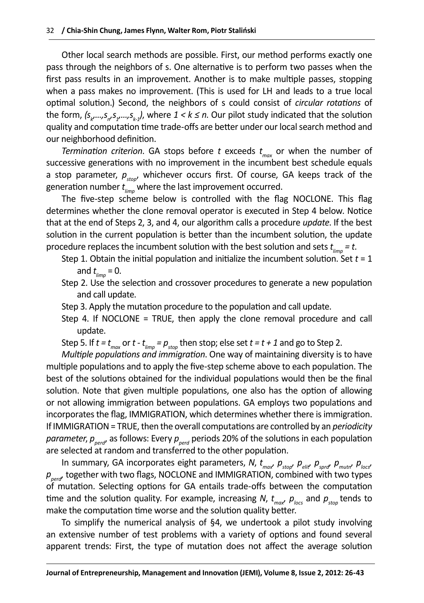Other local search methods are possible. First, our method performs exactly one pass through the neighbors of s. One alternative is to perform two passes when the first pass results in an improvement. Another is to make multiple passes, stopping when a pass makes no improvement. (This is used for LH and leads to a true local optimal solution.) Second, the neighbors of s could consist of *circular rotations* of the form, (s<sub>k</sub>,...,s<sub>n</sub>,s<sub>1</sub>,...,s<sub>k-1</sub>), where 1 < k ≤ n. Our pilot study indicated that the solution quality and computation time trade-offs are better under our local search method and our neighborhood definition.

*Termination criterion*. GA stops before *t* exceeds *t max* or when the number of successive generations with no improvement in the incumbent best schedule equals a stop parameter,  $p_{\text{stop}}$ , whichever occurs first. Of course, GA keeps track of the generation number *t limp* where the last improvement occurred.

The five-step scheme below is controlled with the flag NOCLONE. This flag determines whether the clone removal operator is executed in Step 4 below. Notice that at the end of Steps 2, 3, and 4, our algorithm calls a procedure *update*. If the best solution in the current population is better than the incumbent solution, the update procedure replaces the incumbent solution with the best solution and sets *t limp = t*.

- Step 1. Obtain the initial population and initialize the incumbent solution. Set  $t = 1$ and *t limp* = 0.
- Step 2. Use the selection and crossover procedures to generate a new population and call update.
- Step 3. Apply the mutation procedure to the population and call update.
- Step 4. If NOCLONE = TRUE, then apply the clone removal procedure and call update.
- Step 5. If  $t = t_{max}$  or  $t t_{limp} = p_{stop}$  then stop; else set  $t = t + 1$  and go to Step 2.

*Multiple populations and immigration*. One way of maintaining diversity is to have multiple populations and to apply the five-step scheme above to each population. The best of the solutions obtained for the individual populations would then be the final solution. Note that given multiple populations, one also has the option of allowing or not allowing immigration between populations. GA employs two populations and incorporates the flag, IMMIGRATION, which determines whether there is immigration. If IMMIGRATION = TRUE, then the overall computations are controlled by an *periodicity parameter, p<sub>perd</sub>*, as follows: Every  $p_{\text{perd}}$  periods 20% of the solutions in each population are selected at random and transferred to the other population.

In summary, GA incorporates eight parameters, N,  $t_{max}$ ,  $\rho_{stop'}$ ,  $\rho_{eit'}$ ,  $\rho_{spot'}$ ,  $\rho_{mutr'}$ ,  $\rho_{locs'}$ *p<sub>perd</sub>*, together with two flags, NOCLONE and IMMIGRATION, combined with two types of mutation. Selecting options for GA entails trade-offs between the computation time and the solution quality. For example, increasing N,  $t_{\sf max}^{\phantom{\dagger}}$   $\rho_{\sf \sf \scriptscriptstyle locs}^{\phantom{\dagger}}$  and  $\rho_{\sf \scriptscriptstyle stop}^{\phantom{\dagger}}$  tends to make the computation time worse and the solution quality better.

To simplify the numerical analysis of §4, we undertook a pilot study involving an extensive number of test problems with a variety of options and found several apparent trends: First, the type of mutation does not affect the average solution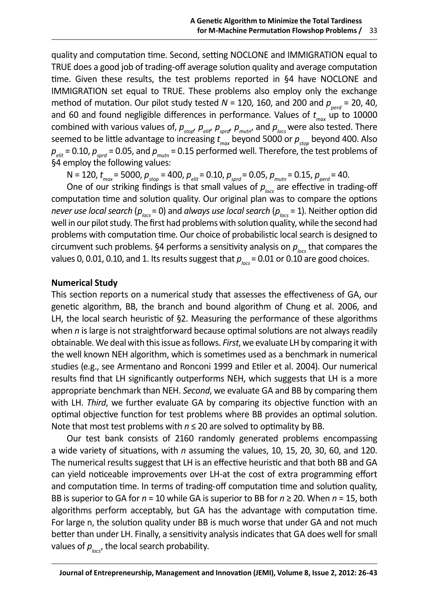quality and computation time. Second, setting NOCLONE and IMMIGRATION equal to TRUE does a good job of trading-off average solution quality and average computation time. Given these results, the test problems reported in §4 have NOCLONE and IMMIGRATION set equal to TRUE. These problems also employ only the exchange method of mutation. Our pilot study tested  $N = 120$ , 160, and 200 and  $p_{\text{pert}} = 20$ , 40, and 60 and found negligible differences in performance. Values of *t max* up to 10000 combined with various values of,  $\rho_{_{stop'}}$   $\rho_{_{elit'}}$   $\rho_{_{spot}}$   $\rho_{_{muttr'}}$  and  $\rho_{_{loc}}$  were also tested. There seemed to be little advantage to increasing *t max* beyond 5000 or *pstop* beyond 400. Also  $p_{\text{eff}}$  = 0.10,  $p_{\text{surf}}$  = 0.05, and  $p_{\text{matter}}$  = 0.15 performed well. Therefore, the test problems of §4 employ the following values:

N = 120, *t max* = 5000, *pstop* = 400, *pelit* = 0.10, *psprd* = 0.05, *pmutn* = 0.15, *pperd* = 40.

One of our striking findings is that small values of  $p_{\text{box}}$  are effective in trading-off computation time and solution quality. Our original plan was to compare the options *never use local search* ( $p_{\text{loc}}$  = 0) and *always use local search* ( $p_{\text{loc}}$  = 1). Neither option did well in our pilot study. The first had problems with solution quality, while the second had problems with computation time. Our choice of probabilistic local search is designed to circumvent such problems. §4 performs a sensitivity analysis on  $p_{\text{loc}}$  that compares the values 0, 0.01, 0.10, and 1. Its results suggest that  $p_{\text{box}} = 0.01$  or 0.10 are good choices.

## **Numerical Study**

This section reports on a numerical study that assesses the effectiveness of GA, our genetic algorithm, BB, the branch and bound algorithm of Chung et al. 2006, and LH, the local search heuristic of §2. Measuring the performance of these algorithms when *n* is large is not straightforward because optimal solutions are not always readily obtainable. We deal with this issue as follows. *First*, we evaluate LH by comparing it with the well known NEH algorithm, which is sometimes used as a benchmark in numerical studies (e.g., see Armentano and Ronconi 1999 and Etiler et al. 2004). Our numerical results find that LH significantly outperforms NEH, which suggests that LH is a more appropriate benchmark than NEH. *Second*, we evaluate GA and BB by comparing them with LH. *Third*, we further evaluate GA by comparing its objective function with an optimal objective function for test problems where BB provides an optimal solution. Note that most test problems with *n* ≤ 20 are solved to optimality by BB.

Our test bank consists of 2160 randomly generated problems encompassing a wide variety of situations, with *n* assuming the values, 10, 15, 20, 30, 60, and 120. The numerical results suggest that LH is an effective heuristic and that both BB and GA can yield noticeable improvements over LH-at the cost of extra programming effort and computation time. In terms of trading-off computation time and solution quality, BB is superior to GA for *n* = 10 while GA is superior to BB for *n* ≥ 20. When *n* = 15, both algorithms perform acceptably, but GA has the advantage with computation time. For large n, the solution quality under BB is much worse that under GA and not much better than under LH. Finally, a sensitivity analysis indicates that GA does well for small values of  $p_{\text{loc}}$ , the local search probability.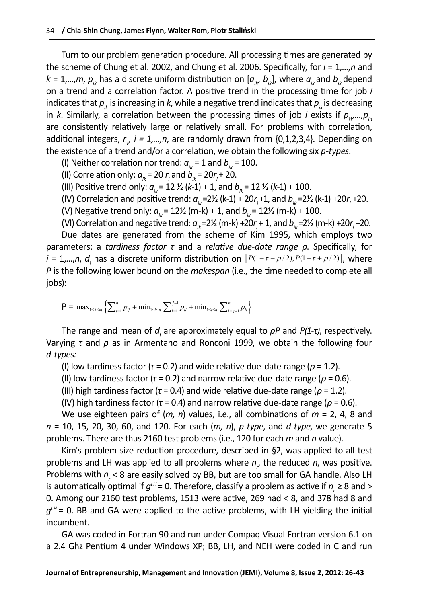Turn to our problem generation procedure. All processing times are generated by the scheme of Chung et al. 2002, and Chung et al. 2006. Specifically, for *i* = 1,…,*n* and  $k = 1,...,m$ ,  $p_{ik}$  has a discrete uniform distribution on  $[a_{ik}, b_{ik}]$ , where  $a_{ik}$  and  $b_{ik}$  depend on a trend and a correlation factor. A positive trend in the processing time for job *i*  indicates that  $p_k$  is increasing in k, while a negative trend indicates that  $p_k$  is decreasing in *k*. Similarly, a correlation between the processing times of job *i* exists if  $p_{i},...,p_{i}$ are consistently relatively large or relatively small. For problems with correlation, additional integers,  $r_{\gamma}$  *i = 1,...,n*, are randomly drawn from {0,1,2,3,4}. Depending on the existence of a trend and/or a correlation, we obtain the following six *p-types*.

(I) Neither correlation nor trend:  $a_k = 1$  and  $b_k = 100$ .

(II) Correlation only:  $a_{ik} = 20 r_i$  and  $b_{ik} = 20 r_i + 20$ .

(III) Positive trend only:  $a_{ik} = 12 \frac{1}{2} (k-1) + 1$ , and  $b_{ik} = 12 \frac{1}{2} (k-1) + 100$ .

(IV) Correlation and positive trend:  $a_{_{ik}}$ =2½ (k-1) + 20 $r_{_{f}}$ +1, and  $b_{_{ik}}$ =2½ (k-1) +20 $r_{_{f}}$ +20.

(V) Negative trend only:  $a_{ik} = 12\frac{1}{2}$  (m-k) + 1, and  $b_{ik} = 12\frac{1}{2}$  (m-k) + 100.

(VI) Correlation and negative trend:  $a_{ik}$ =2½ (m-k) +20 $r_{i}$ + 1, and  $b_{ik}$ =2½ (m-k) +20 $r_{i}$  +20. Due dates are generated from the scheme of Kim 1995, which employs two parameters: a *tardiness factor τ* and a *relative due-date range ρ*. Specifically, for *i* = 1,...,*n*, *d*<sub>*i*</sub> has a discrete uniform distribution on  $[P(1 - \tau - \rho/2), P(1 - \tau + \rho/2)]$ , where *P* is the following lower bound on the *makespan* (i.e., the time needed to complete all jobs):

 $P = \max_{1 \le j \le m} \left\{ \sum_{i=1}^n p_{ij} + \min_{1 \le i \le n} \sum_{l=1}^{j-1} p_{il} + \min_{1 \le i \le n} \sum_{l=j+1}^m p_{il} \right\}$ 

The range and mean of *d<sub>i</sub>* are approximately equal to *ρP* and *P(1-τ)*, respectively. Varying *τ* and *ρ* as in Armentano and Ronconi 1999, we obtain the following four *d-types:*

(I) low tardiness factor (*τ* = 0.2) and wide relative due-date range (*ρ* = 1.2).

(II) low tardiness factor (*τ* = 0.2) and narrow relative due-date range (*ρ* = 0.6).

(III) high tardiness factor (*τ* = 0.4) and wide relative due-date range (*ρ* = 1.2).

(IV) high tardiness factor (*τ* = 0.4) and narrow relative due-date range (*ρ* = 0.6).

We use eighteen pairs of (*m, n*) values, i.e., all combinations of *m* = 2, 4, 8 and *n* = 10, 15, 20, 30, 60, and 120. For each (*m, n*), *p-type*, and *d-type*, we generate 5 problems. There are thus 2160 test problems (i.e., 120 for each *m* and *n* value).

Kim's problem size reduction procedure, described in §2, was applied to all test problems and LH was applied to all problems where  $n<sub>r</sub>$  the reduced n, was positive. Problems with  $n_{\zeta}$  < 8 are easily solved by BB, but are too small for GA handle. Also LH is automatically optimal if  $g^{\mu\nu}$  = 0. Therefore, classify a problem as active if  $n_{_{r}}$   $\geq$  8 and  $>$ 0. Among our 2160 test problems, 1513 were active, 269 had < 8, and 378 had 8 and  $g<sup>th</sup> = 0$ . BB and GA were applied to the active problems, with LH yielding the initial incumbent.

GA was coded in Fortran 90 and run under Compaq Visual Fortran version 6.1 on a 2.4 Ghz Pentium 4 under Windows XP; BB, LH, and NEH were coded in C and run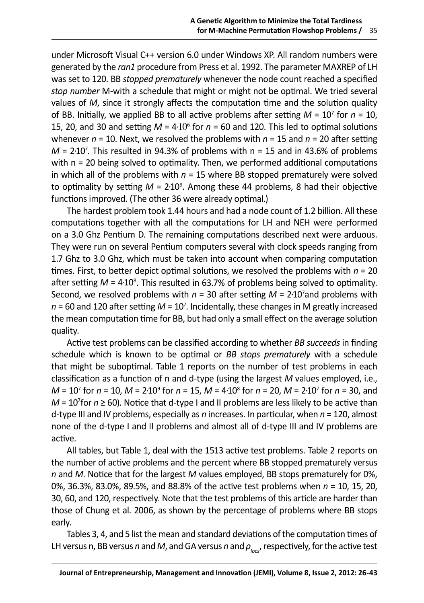under Microsoft Visual C++ version 6.0 under Windows XP. All random numbers were generated by the *ran1* procedure from Press et al. 1992. The parameter MAXREP of LH was set to 120. BB *stopped prematurely* whenever the node count reached a specified *stop number* M-with a schedule that might or might not be optimal. We tried several values of *M*, since it strongly affects the computation time and the solution quality of BB. Initially, we applied BB to all active problems after setting *M* = 10<sup>7</sup> for *n* = 10, 15, 20, and 30 and setting  $M = 4.10^6$  for  $n = 60$  and 120. This led to optimal solutions whenever  $n = 10$ . Next, we resolved the problems with  $n = 15$  and  $n = 20$  after setting  $M = 2.10<sup>7</sup>$ . This resulted in 94.3% of problems with  $n = 15$  and in 43.6% of problems with n = 20 being solved to optimality. Then, we performed additional computations in which all of the problems with  $n = 15$  where BB stopped prematurely were solved to optimality by setting M = 2·10<sup>9</sup>. Among these 44 problems, 8 had their objective functions improved. (The other 36 were already optimal.)

The hardest problem took 1.44 hours and had a node count of 1.2 billion. All these computations together with all the computations for LH and NEH were performed on a 3.0 Ghz Pentium D. The remaining computations described next were arduous. They were run on several Pentium computers several with clock speeds ranging from 1.7 Ghz to 3.0 Ghz, which must be taken into account when comparing computation times. First, to better depict optimal solutions, we resolved the problems with *n* = 20 after setting *M* = 4·10<sup>8</sup>. This resulted in 63.7% of problems being solved to optimality. Second, we resolved problems with  $n = 30$  after setting  $M = 2.10<sup>7</sup>$  and problems with *n* = 60 and 120 after setting *M* = 10<sup>7</sup>. Incidentally, these changes in M greatly increased the mean computation time for BB, but had only a small effect on the average solution quality.

Active test problems can be classified according to whether *BB succeeds* in finding schedule which is known to be optimal or *BB stops prematurely* with a schedule that might be suboptimal. Table 1 reports on the number of test problems in each classification as a function of n and d-type (using the largest *M* values employed, i.e., *M* = 10<sup>7</sup> for *n* = 10, *M* = 2·109 for *n* = 15, *M* = 4·108 for *n* = 20, *M* = 2·10*<sup>7</sup>* for *n* = 30, and *M* = 10<sup>7</sup> for *n* ≥ 60). Notice that d-type I and II problems are less likely to be active than d-type III and IV problems, especially as *n* increases. In particular, when *n* = 120, almost none of the d-type I and II problems and almost all of d-type III and IV problems are active.

All tables, but Table 1, deal with the 1513 active test problems. Table 2 reports on the number of active problems and the percent where BB stopped prematurely versus *n* and *M*. Notice that for the largest *M* values employed, BB stops prematurely for 0%, 0%, 36.3%, 83.0%, 89.5%, and 88.8% of the active test problems when *n* = 10, 15, 20, 30, 60, and 120, respectively. Note that the test problems of this article are harder than those of Chung et al. 2006, as shown by the percentage of problems where BB stops early.

Tables 3, 4, and 5 list the mean and standard deviations of the computation times of LH versus n, BB versus *n* and *M*, and GA versus *n* and *ρlocs*, respectively, for the active test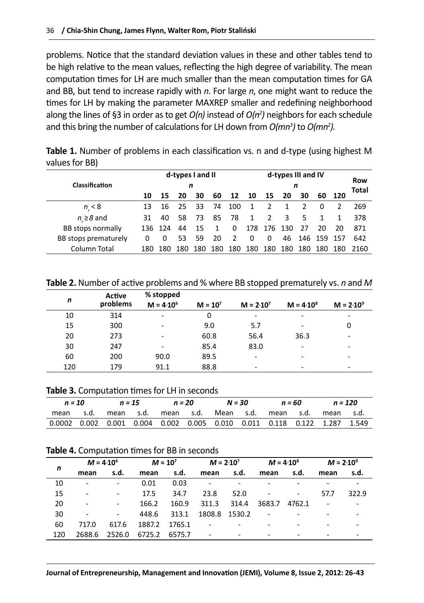problems. Notice that the standard deviation values in these and other tables tend to be high relative to the mean values, reflecting the high degree of variability. The mean computation times for LH are much smaller than the mean computation times for GA and BB, but tend to increase rapidly with *n*. For large *n*, one might want to reduce the times for LH by making the parameter MAXREP smaller and redefining neighborhood along the lines of §3 in order as to get *O(n)* instead of *O(n2 )* neighbors for each schedule and this bring the number of calculations for LH down from *O(mn3 )* to *O(mn2 )*.

**Table 1.** Number of problems in each classification vs. n and d-type (using highest M values for BB)

|                      |     |         | d-types I and II |     |     |               | d-types III and IV |      |       |     |         | Row    |       |
|----------------------|-----|---------|------------------|-----|-----|---------------|--------------------|------|-------|-----|---------|--------|-------|
| Classification       | n   |         |                  |     |     |               |                    | n    |       |     |         |        | Total |
|                      | 10  | 15      | 20               | 30  | 60  | 12            | 10                 | 15   | 20    | 30  |         | 60 120 |       |
| $n_{.} < 8$          | 13  | 16      | 25               | 33  | 74  | 100           | 1                  |      |       | 2   |         | 2      | 269   |
| $n \geq 8$ and       | 31  | 40      | 58               | 73  | 85  | 78            | 1                  | 2    | 3     |     |         |        | 378   |
| BB stops normally    |     | 136 124 | 44               | 15  | 1   | 0             | 178                | -176 | - 130 | 27  | 20      | 20     | 871   |
| BB stops prematurely |     |         | 53               | 59  | 20  | $\mathcal{P}$ | 0                  | 0    | 46    |     | 146 159 | -157   | 642   |
| Column Total         | 180 | 180     | 180              | 180 | 180 | 180           | 180                | 180  | 180   | 180 | 180     | 180    | 2160  |

**Table 2.** Number of active problems and % where BB stopped prematurely vs. *n* and *M*

| n   | Active<br>problems | % stopped<br>$M = 4.10^6$ | $M = 107$ | $M = 2.107$              | $M = 4.10^8$             | $M = 2.10^9$             |
|-----|--------------------|---------------------------|-----------|--------------------------|--------------------------|--------------------------|
| 10  | 314                | $\overline{\phantom{a}}$  | 0         | -                        | $\overline{\phantom{a}}$ | $\overline{\phantom{a}}$ |
| 15  | 300                | $\overline{\phantom{a}}$  | 9.0       | 5.7                      | -                        | 0                        |
| 20  | 273                | ۰                         | 60.8      | 56.4                     | 36.3                     | -                        |
| 30  | 247                | ۰                         | 85.4      | 83.0                     | $\overline{\phantom{a}}$ | ۰                        |
| 60  | 200                | 90.0                      | 89.5      | -                        |                          | ۰                        |
| 120 | 179                | 91.1                      | 88.8      | $\overline{\phantom{a}}$ | -                        | ٠                        |

|                                                                                                  | n = 10<br>$n = 15$ |  | $n = 20$ |  | N = 30                                  |  | n = 60 |  | n = 120   |  |
|--------------------------------------------------------------------------------------------------|--------------------|--|----------|--|-----------------------------------------|--|--------|--|-----------|--|
| mean                                                                                             | s.d.               |  |          |  | mean s.d. mean s.d. Mean s.d. mean s.d. |  |        |  | mean s.d. |  |
| $0.0002$ $0.002$ $0.001$ $0.004$ $0.002$ $0.005$ $0.010$ $0.011$ $0.118$ $0.122$ $1.287$ $1.549$ |                    |  |          |  |                                         |  |        |  |           |  |

**Table 4.** Computation times for BB in seconds

|     |                          | $M = 4.10^6$             | $M = 10^{7}$ |        | $M = 2.10^{7}$ |                          | $M = 4.10^8$             |        | $M = 2.10^9$ |       |
|-----|--------------------------|--------------------------|--------------|--------|----------------|--------------------------|--------------------------|--------|--------------|-------|
| n   | mean                     | s.d.                     | mean         | s.d.   | mean           | s.d.                     | mean                     | s.d.   | mean         | s.d.  |
| 10  | $\overline{\phantom{a}}$ | $\overline{\phantom{a}}$ | 0.01         | 0.03   |                | $\overline{\phantom{a}}$ |                          |        |              |       |
| 15  | $\overline{\phantom{a}}$ | $\overline{\phantom{a}}$ | 17.5         | 34.7   | 23.8           | 52.0                     | $\overline{\phantom{a}}$ | ٠      | 57.7         | 322.9 |
| 20  | $\overline{\phantom{a}}$ | $\blacksquare$           | 166.2        | 160.9  | 311.3          | 314.4                    | 3683.7                   | 4762.1 |              |       |
| 30  | $\overline{\phantom{m}}$ | $\overline{\phantom{a}}$ | 448.6        | 313.1  | 1808.8 1530.2  |                          | $\sim 10$                |        |              |       |
| 60  | 717.0                    | 617.6                    | 1887.2       | 1765.1 |                | $\sim$ 100 $\mu$         |                          |        |              |       |
| 120 | 2688.6                   | 2526.0                   | 6725.2       | 6575.7 |                |                          |                          |        |              |       |
|     |                          |                          |              |        |                |                          |                          |        |              |       |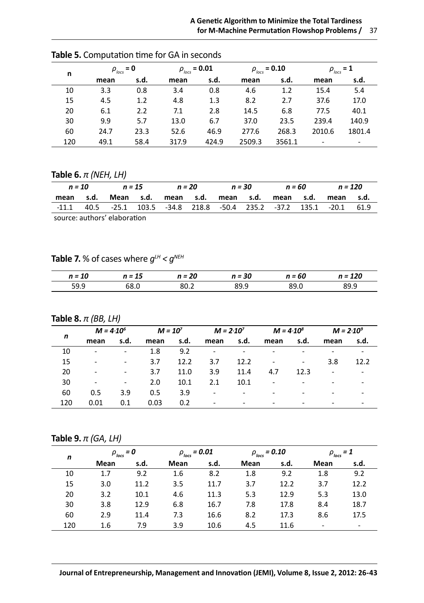| n   |      | $\rho_{\text{loss}} = 0$ |       | $\rho_{_{locs}}$ = 0.01 | $\rho_{\text{loss}} = 0.10$ |        |        | $\rho_{\text{loss}} = 1$ |  |
|-----|------|--------------------------|-------|-------------------------|-----------------------------|--------|--------|--------------------------|--|
|     | mean | s.d.                     | mean  | s.d.                    | mean                        | s.d.   | mean   | s.d.                     |  |
| 10  | 3.3  | 0.8                      | 3.4   | 0.8                     | 4.6                         | 1.2    | 15.4   | 5.4                      |  |
| 15  | 4.5  | 1.2                      | 4.8   | 1.3                     | 8.2                         | 2.7    | 37.6   | 17.0                     |  |
| 20  | 6.1  | 2.2                      | 7.1   | 2.8                     | 14.5                        | 6.8    | 77.5   | 40.1                     |  |
| 30  | 9.9  | 5.7                      | 13.0  | 6.7                     | 37.0                        | 23.5   | 239.4  | 140.9                    |  |
| 60  | 24.7 | 23.3                     | 52.6  | 46.9                    | 277.6                       | 268.3  | 2010.6 | 1801.4                   |  |
| 120 | 49.1 | 58.4                     | 317.9 | 424.9                   | 2509.3                      | 3561.1 | ٠      | -                        |  |

**Table 5.** Computation time for GA in seconds

## **Table 6.** *π (NEH, LH)*

| $n = 10$  |                              |  | $n = 15$ |  |  | n = 20 n = 30 |  | n = 60 |  | n = 120                                                               |  |
|-----------|------------------------------|--|----------|--|--|---------------|--|--------|--|-----------------------------------------------------------------------|--|
| mean s.d. |                              |  |          |  |  |               |  |        |  | Mean s.d. mean s.d. mean s.d. mean s.d. mean s.d.                     |  |
|           |                              |  |          |  |  |               |  |        |  | -11.1 40.5 -25.1 103.5 -34.8 218.8 -50.4 235.2 -37.2 135.1 -20.1 61.9 |  |
|           | cource: authors' olahoration |  |          |  |  |               |  |        |  |                                                                       |  |

source: authors' elaboration

# **Table 7.** % of cases where  $g^{\mu \mu} < g^{\text{NEH}}$

| n = 10 | n = 15 | n = 20 | = 30 | n = 60 | $n = 120$ |
|--------|--------|--------|------|--------|-----------|
| 59.9   |        |        | 89.9 | 89.0   | .         |

## **Table 8.** *π (BB, LH)*

|     |                          | $M = 4.10^6$             |      | $M = 107$ | $M = 2.107$              |      | $M = 4.10^8$             |      | $M = 2.10^9$             |      |
|-----|--------------------------|--------------------------|------|-----------|--------------------------|------|--------------------------|------|--------------------------|------|
| n   | mean                     | s.d.                     | mean | s.d.      | mean                     | s.d. | mean                     | s.d. | mean                     | s.d. |
| 10  | ٠                        | -                        | 1.8  | 9.2       |                          |      |                          |      | -                        |      |
| 15  | $\overline{\phantom{a}}$ | $\overline{\phantom{a}}$ | 3.7  | 12.2      | 3.7                      | 12.2 | $\overline{\phantom{a}}$ | -    | 3.8                      | 12.2 |
| 20  | $\overline{\phantom{a}}$ | $\overline{\phantom{a}}$ | 3.7  | 11.0      | 3.9                      | 11.4 | 4.7                      | 12.3 | $\overline{\phantom{a}}$ | -    |
| 30  | $\overline{\phantom{a}}$ | -                        | 2.0  | 10.1      | 2.1                      | 10.1 | ۰                        |      | ۰                        | -    |
| 60  | 0.5                      | 3.9                      | 0.5  | 3.9       | ٠                        | ٠    | -                        |      | ٠                        | -    |
| 120 | 0.01                     | 0.1                      | 0.03 | 0.2       | $\overline{\phantom{a}}$ |      |                          |      |                          |      |

## **Table 9.** *π (GA, LH)*

| n   |      | $\rho_{\text{loss}} = 0$ |      | $\rho_{\rm \scriptscriptstyle locs}^{}$ = 0.01 | $\rho_{\text{loss}} = 0.10$ |      | $\rho_{\text{locs}} = 1$ |      |  |
|-----|------|--------------------------|------|------------------------------------------------|-----------------------------|------|--------------------------|------|--|
|     | Mean | s.d.                     | Mean | s.d.                                           | Mean                        | s.d. | Mean                     | s.d. |  |
| 10  | 1.7  | 9.2                      | 1.6  | 8.2                                            | 1.8                         | 9.2  | 1.8                      | 9.2  |  |
| 15  | 3.0  | 11.2                     | 3.5  | 11.7                                           | 3.7                         | 12.2 | 3.7                      | 12.2 |  |
| 20  | 3.2  | 10.1                     | 4.6  | 11.3                                           | 5.3                         | 12.9 | 5.3                      | 13.0 |  |
| 30  | 3.8  | 12.9                     | 6.8  | 16.7                                           | 7.8                         | 17.8 | 8.4                      | 18.7 |  |
| 60  | 2.9  | 11.4                     | 7.3  | 16.6                                           | 8.2                         | 17.3 | 8.6                      | 17.5 |  |
| 120 | 1.6  | 7.9                      | 3.9  | 10.6                                           | 4.5                         | 11.6 | $\overline{\phantom{a}}$ | ۰    |  |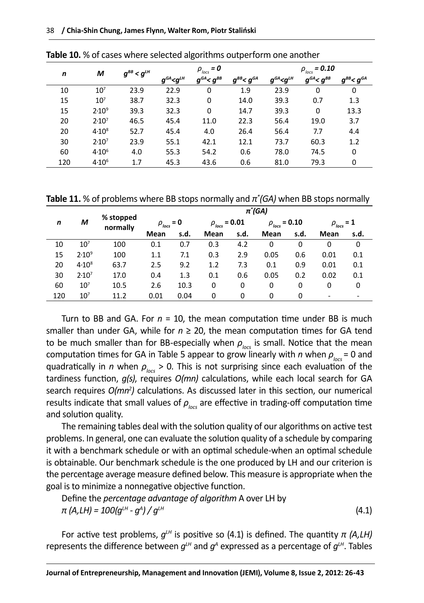| n   | м                 | $g_{\scriptscriptstyle{BB}}$ < $g_{\scriptscriptstyle{LH}}$ |                                                                 | $\rho_{\text{loss}} = 0$ |                     | $\rho_{_{locs}}$ = 0.10 |                   |                        |  |  |
|-----|-------------------|-------------------------------------------------------------|-----------------------------------------------------------------|--------------------------|---------------------|-------------------------|-------------------|------------------------|--|--|
|     |                   |                                                             | $g^{\scriptscriptstyle GA}\!\! <\!\! g^{\scriptscriptstyle LH}$ | $g^{GA} < g^{BB}$        | $g^{BB}$ < $g^{GA}$ | $g^{GA}$ < $g^{LH}$     | $g^{GA} < g^{BB}$ | $g^{_{BB}}< g^{_{GA}}$ |  |  |
| 10  | $10^{7}$          | 23.9                                                        | 22.9                                                            | 0                        | 1.9                 | 23.9                    | 0                 | 0                      |  |  |
| 15  | $10^{7}$          | 38.7                                                        | 32.3                                                            | 0                        | 14.0                | 39.3                    | 0.7               | 1.3                    |  |  |
| 15  | 2.10 <sup>9</sup> | 39.3                                                        | 32.3                                                            | 0                        | 14.7                | 39.3                    | 0                 | 13.3                   |  |  |
| 20  | 2.10 <sup>7</sup> | 46.5                                                        | 45.4                                                            | 11.0                     | 22.3                | 56.4                    | 19.0              | 3.7                    |  |  |
| 20  | $4.10^{8}$        | 52.7                                                        | 45.4                                                            | 4.0                      | 26.4                | 56.4                    | 7.7               | 4.4                    |  |  |
| 30  | 2.10 <sup>7</sup> | 23.9                                                        | 55.1                                                            | 42.1                     | 12.1                | 73.7                    | 60.3              | 1.2                    |  |  |
| 60  | $4.10^{6}$        | 4.0                                                         | 55.3                                                            | 54.2                     | 0.6                 | 78.0                    | 74.5              | 0                      |  |  |
| 120 | $4.10^{6}$        | 1.7                                                         | 45.3                                                            | 43.6                     | 0.6                 | 81.0                    | 79.3              | 0                      |  |  |

**Table 10.** % of cases where selected algorithms outperform one another

**Table 11.** % of problems where BB stops normally and *π\* (GA)* when BB stops normally

|     |                   |                       |                          |      |                                                |      | π (GA)                      |      |                              |      |  |  |  |  |  |  |
|-----|-------------------|-----------------------|--------------------------|------|------------------------------------------------|------|-----------------------------|------|------------------------------|------|--|--|--|--|--|--|
| n   | М                 | % stopped<br>normally | $\rho_{\text{loss}} = 0$ |      | $\rho_{\rm \scriptscriptstyle locs}^{}$ = 0.01 |      | $\rho_{\text{loss}} = 0.10$ |      | $=1$<br>$\rho_{\text{loss}}$ |      |  |  |  |  |  |  |
|     |                   |                       | Mean                     | s.d. | Mean                                           | s.d. | Mean                        | s.d. | Mean                         | s.d. |  |  |  |  |  |  |
| 10  | $10^{7}$          | 100                   | 0.1                      | 0.7  | 0.3                                            | 4.2  | 0                           | 0    | 0                            | 0    |  |  |  |  |  |  |
| 15  | $2.10^9$          | 100                   | 1.1                      | 7.1  | 0.3                                            | 2.9  | 0.05                        | 0.6  | 0.01                         | 0.1  |  |  |  |  |  |  |
| 20  | $4.10^{8}$        | 63.7                  | 2.5                      | 9.2  | 1.2                                            | 7.3  | 0.1                         | 0.9  | 0.01                         | 0.1  |  |  |  |  |  |  |
| 30  | 2.10 <sup>7</sup> | 17.0                  | 0.4                      | 1.3  | 0.1                                            | 0.6  | 0.05                        | 0.2  | 0.02                         | 0.1  |  |  |  |  |  |  |
| 60  | 10 <sup>7</sup>   | 10.5                  | 2.6                      | 10.3 | 0                                              | 0    | 0                           | 0    | 0                            | 0    |  |  |  |  |  |  |
| 120 | 10 <sup>7</sup>   | 11.2                  | 0.01                     | 0.04 | 0                                              | 0    | 0                           | 0    | ۰                            |      |  |  |  |  |  |  |

Turn to BB and GA. For  $n = 10$ , the mean computation time under BB is much smaller than under GA, while for  $n \geq 20$ , the mean computation times for GA tend to be much smaller than for BB-especially when  $\rho_{\text{loc}}$  is small. Notice that the mean computation times for GA in Table 5 appear to grow linearly with *n* when  $\rho_{\text{loc}}$  = 0 and quadratically in *n* when *ρlocs* > 0. This is not surprising since each evaluation of the tardiness function, *g(s)*, requires *O(mn)* calculations, while each local search for GA search requires  $O(mn^2)$  calculations. As discussed later in this section, our numerical results indicate that small values of  $\rho_{\text{loc}}$  are effective in trading-off computation time and solution quality.

The remaining tables deal with the solution quality of our algorithms on active test problems. In general, one can evaluate the solution quality of a schedule by comparing it with a benchmark schedule or with an optimal schedule-when an optimal schedule is obtainable. Our benchmark schedule is the one produced by LH and our criterion is the percentage average measure defined below. This measure is appropriate when the goal is to minimize a nonnegative objective function.

Define the *percentage advantage of algorithm* A over LH by *π* (*A*,*LH*) =  $100(g<sup>LH</sup> - g<sup>A</sup>)$  /  $g<sup>LH</sup>$  $)/g^{\mu}$  (4.1)

For active test problems,  $g^{\mu\nu}$  is positive so (4.1) is defined. The quantity  $\pi$  (A,LH) represents the difference between  $q<sup>th</sup>$  and  $q<sup>A</sup>$  expressed as a percentage of  $q<sup>th</sup>$ . Tables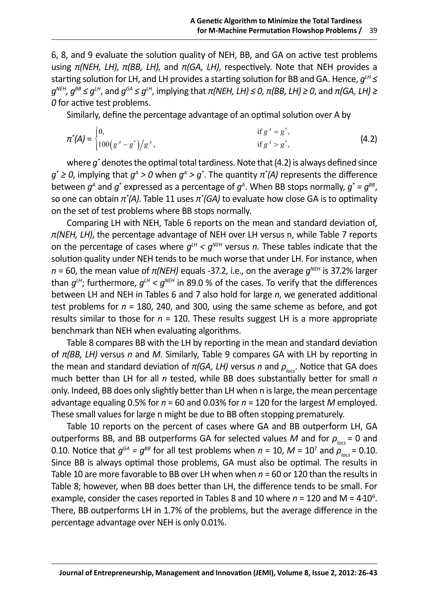6, 8, and 9 evaluate the solution quality of NEH, BB, and GA on active test problems using *π(NEH, LH)*, *π(BB, LH)*, and *π(GA, LH)*, respectively. Note that NEH provides a starting solution for LH, and LH provides a starting solution for BB and GA. Hence,  $q^{\mu} \leq$  $q^{NEH}$ ,  $q^{BB}$  ≤  $q^{LH}$ , and  $q^{GA}$  ≤  $q^{LH}$ , implying that  $π(NEH, LH)$  ≤ 0,  $π(BB, LH) ≥ 0$ , and  $π(GA, LH) ≥$ *0* for active test problems.

Similarly, define the percentage advantage of an optimal solution over A by

$$
\pi^*(A) = \begin{cases} 0, & \text{if } g^A = g^*, \\ 100(g^A - g^*)/g^A, & \text{if } g^A > g^*, \end{cases}
$$
 (4.2)

where *g\** denotes the optimal total tardiness. Note that (4.2) is always defined since *g*<sup>\*</sup> ≥ 0, implying that  $g^A > 0$  when  $g^A > g^*$ . The quantity  $\pi^*(A)$  represents the difference between  $g^{\scriptscriptstyle A}$  and  $g^*$  expressed as a percentage of  $g^{\scriptscriptstyle A}$ . When BB stops normally,  $g^*$  =  $g^{\scriptscriptstyle BB}$ , so one can obtain *π\* (A)*. Table 11 uses *π\* (GA)* to evaluate how close GA is to optimality on the set of test problems where BB stops normally.

Comparing LH with NEH, Table 6 reports on the mean and standard deviation of, *π(NEH, LH)*, the percentage advantage of NEH over LH versus n, while Table 7 reports on the percentage of cases where  $q<sup>LH</sup> < q<sup>NEH</sup>$  versus *n*. These tables indicate that the solution quality under NEH tends to be much worse that under LH. For instance, when *n* = 60, the mean value of *π(NEH)* equals -37.2, i.e., on the average *gNEH* is 37.2% larger than  $q<sup>LH</sup>$ ; furthermore,  $q<sup>LH</sup> < q<sup>NEH</sup>$  in 89.0 % of the cases. To verify that the differences between LH and NEH in Tables 6 and 7 also hold for large *n*, we generated additional test problems for *n* = 180, 240, and 300, using the same scheme as before, and got results similar to those for *n* = 120. These results suggest LH is a more appropriate benchmark than NEH when evaluating algorithms.

Table 8 compares BB with the LH by reporting in the mean and standard deviation of *π(BB, LH)* versus *n* and *M*. Similarly, Table 9 compares GA with LH by reporting in the mean and standard deviation of *π(GA, LH)* versus *n* and  $ρ_{loc}$ . Notice that GA does much better than LH for all *n* tested, while BB does substantially better for small *n*  only. Indeed, BB does only slightly better than LH when n is large, the mean percentage advantage equaling 0.5% for *n* = 60 and 0.03% for *n* = 120 for the largest *M* employed. These small values for large n might be due to BB often stopping prematurely.

Table 10 reports on the percent of cases where GA and BB outperform LH, GA outperforms BB, and BB outperforms GA for selected values *M* and for  $\rho_{\text{loc}} = 0$  and 0.10. Notice that  $g^{GA} = g^{BB}$  for all test problems when  $n = 10$ ,  $M = 10<sup>7</sup>$  and  $\rho_{\text{loc}} = 0.10$ . Since BB is always optimal those problems, GA must also be optimal. The results in Table 10 are more favorable to BB over LH when when *n* = 60 or 120 than the results in Table 8; however, when BB does better than LH, the difference tends to be small. For example, consider the cases reported in Tables 8 and 10 where  $n = 120$  and  $M = 4·10<sup>6</sup>$ . There, BB outperforms LH in 1.7% of the problems, but the average difference in the percentage advantage over NEH is only 0.01%.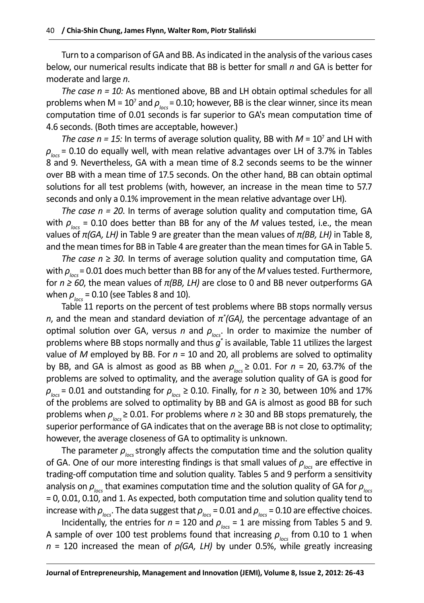Turn to a comparison of GA and BB. As indicated in the analysis of the various cases below, our numerical results indicate that BB is better for small *n* and GA is better for moderate and large *n*.

*The case n = 10:* As mentioned above, BB and LH obtain optimal schedules for all problems when M = 10<sup>7</sup> and  $\rho_{\text{\tiny locS}}$  = 0.10; however, BB is the clear winner, since its mean computation time of 0.01 seconds is far superior to GA's mean computation time of 4.6 seconds. (Both times are acceptable, however.)

*The case*  $n = 15$ *:* In terms of average solution quality, BB with  $M = 10<sup>7</sup>$  and LH with  $\rho_{\text{loss}}$  = 0.10 do equally well, with mean relative advantages over LH of 3.7% in Tables 8 and 9. Nevertheless, GA with a mean time of 8.2 seconds seems to be the winner over BB with a mean time of 17.5 seconds. On the other hand, BB can obtain optimal solutions for all test problems (with, however, an increase in the mean time to 57.7 seconds and only a 0.1% improvement in the mean relative advantage over LH).

*The case n = 20*. In terms of average solution quality and computation time, GA with  $\rho_{\text{locs}}$  = 0.10 does better than BB for any of the *M* values tested, i.e., the mean values of *π(GA, LH)* in Table 9 are greater than the mean values of *π(BB, LH)* in Table 8, and the mean times for BB in Table 4 are greater than the mean times for GA in Table 5.

*The case n* ≥ *30.* In terms of average solution quality and computation time, GA with  $\rho_{\text{loc}}$  = 0.01 does much better than BB for any of the *M* values tested. Furthermore, for *n ≥ 60*, the mean values of *π(BB, LH)* are close to 0 and BB never outperforms GA when  $\rho_{\text{loss}}$  = 0.10 (see Tables 8 and 10).

Table 11 reports on the percent of test problems where BB stops normally versus *n*, and the mean and standard deviation of *π\* (GA)*, the percentage advantage of an optimal solution over GA, versus *n* and  $\rho_{\text{loc}}$ . In order to maximize the number of problems where BB stops normally and thus *g\** is available, Table 11 utilizes the largest value of *M* employed by BB. For *n* = 10 and 20, all problems are solved to optimality by BB, and GA is almost as good as BB when  $\rho_{\text{loc}} \geq 0.01$ . For  $n = 20$ , 63.7% of the problems are solved to optimality, and the average solution quality of GA is good for  $\rho_{\text{loss}}$  = 0.01 and outstanding for  $\rho_{\text{loss}}$  ≥ 0.10. Finally, for  $n \ge 30$ , between 10% and 17% of the problems are solved to optimality by BB and GA is almost as good BB for such problems when *ρlocs* ≥ 0.01. For problems where *n* ≥ 30 and BB stops prematurely, the superior performance of GA indicates that on the average BB is not close to optimality; however, the average closeness of GA to optimality is unknown.

The parameter  $\rho_{\text{loc}}$  strongly affects the computation time and the solution quality of GA. One of our more interesting findings is that small values of  $\rho_{\text{loc}}$  are effective in trading-off computation time and solution quality. Tables 5 and 9 perform a sensitivity analysis on *ρlocs* that examines computation time and the solution quality of GA for *ρlocs* = 0, 0.01, 0.10, and 1. As expected, both computation time and solution quality tend to increase with  $\rho_{\text{loc}}$ . The data suggest that  $\rho_{\text{loc}}$  = 0.01 and  $\rho_{\text{loc}}$  = 0.10 are effective choices.

Incidentally, the entries for  $n = 120$  and  $\rho_{\text{loc}} = 1$  are missing from Tables 5 and 9. A sample of over 100 test problems found that increasing  $\rho_{\text{loc}}$  from 0.10 to 1 when *n* = 120 increased the mean of *ρ(GA, LH)* by under 0.5%, while greatly increasing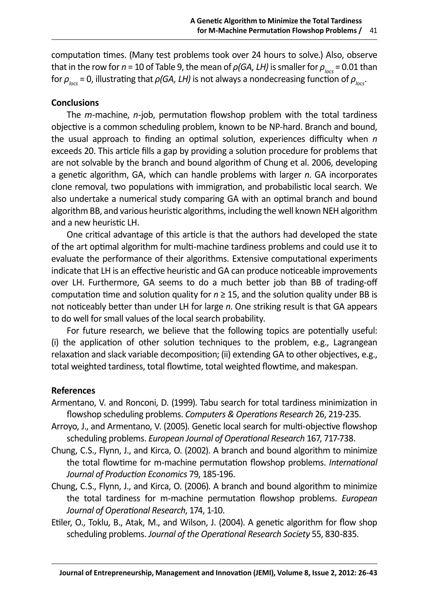computation times. (Many test problems took over 24 hours to solve.) Also, observe that in the row for *n* = 10 of Table 9, the mean of  $\rho(GA, LH)$  is smaller for  $\rho_{\text{loc}} = 0.01$  than for  $\rho_{\text{loc}}$  = 0, illustrating that  $\rho(GA, LH)$  is not always a nondecreasing function of  $\rho_{\text{loc}}$ .

## **Conclusions**

The *m*-machine, *n*-job, permutation flowshop problem with the total tardiness objective is a common scheduling problem, known to be NP-hard. Branch and bound, the usual approach to finding an optimal solution, experiences difficulty when *n* exceeds 20. This article fills a gap by providing a solution procedure for problems that are not solvable by the branch and bound algorithm of Chung et al. 2006, developing a genetic algorithm, GA, which can handle problems with larger *n*. GA incorporates clone removal, two populations with immigration, and probabilistic local search. We also undertake a numerical study comparing GA with an optimal branch and bound algorithm BB, and various heuristic algorithms, including the well known NEH algorithm and a new heuristic LH.

One critical advantage of this article is that the authors had developed the state of the art optimal algorithm for multi-machine tardiness problems and could use it to evaluate the performance of their algorithms. Extensive computational experiments indicate that LH is an effective heuristic and GA can produce noticeable improvements over LH. Furthermore, GA seems to do a much better job than BB of trading-off computation time and solution quality for  $n \geq 15$ , and the solution quality under BB is not noticeably better than under LH for large *n*. One striking result is that GA appears to do well for small values of the local search probability.

For future research, we believe that the following topics are potentially useful: (i) the application of other solution techniques to the problem, e.g., Lagrangean relaxation and slack variable decomposition; (ii) extending GA to other objectives, e.g., total weighted tardiness, total flowtime, total weighted flowtime, and makespan.

## **References**

- Armentano, V. and Ronconi, D. (1999). Tabu search for total tardiness minimization in flowshop scheduling problems. *Computers & Operations Research* 26, 219-235.
- Arroyo, J., and Armentano, V. (2005). Genetic local search for multi-objective flowshop scheduling problems. *European Journal of Operational Research* 167, 717-738.
- Chung, C.S., Flynn, J., and Kirca, O. (2002). A branch and bound algorithm to minimize the total flowtime for m-machine permutation flowshop problems. *International Journal of Production Economics* 79, 185-196.
- Chung, C.S., Flynn, J., and Kirca, O. (2006). A branch and bound algorithm to minimize the total tardiness for m-machine permutation flowshop problems. *European Journal of Operational Research*, 174, 1-10.
- Etiler, O., Toklu, B., Atak, M., and Wilson, J. (2004). A genetic algorithm for flow shop scheduling problems. *Journal of the Operational Research Society* 55, 830-835.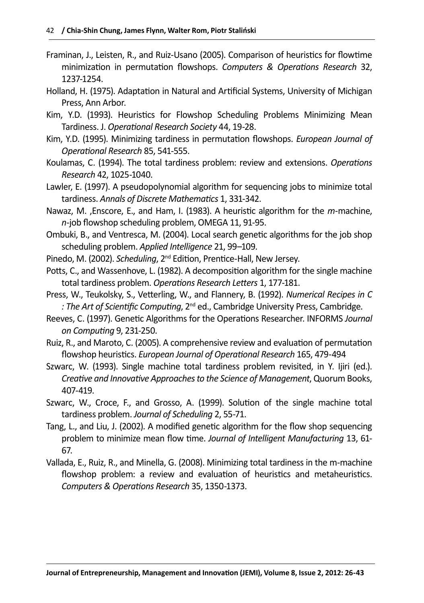- Framinan, J., Leisten, R., and Ruiz-Usano (2005). Comparison of heuristics for flowtime minimization in permutation flowshops. *Computers & Operations Research* 32, 1237-1254.
- Holland, H. (1975). Adaptation in Natural and Artificial Systems, University of Michigan Press, Ann Arbor.
- Kim, Y.D. (1993). Heuristics for Flowshop Scheduling Problems Minimizing Mean Tardiness. J. *Operational Research Society* 44, 19-28.
- Kim, Y.D. (1995). Minimizing tardiness in permutation flowshops. *European Journal of Operational Research* 85, 541-555.
- Koulamas, C. (1994). The total tardiness problem: review and extensions. *Operations Research* 42, 1025-1040.
- Lawler, E. (1997). A pseudopolynomial algorithm for sequencing jobs to minimize total tardiness. *Annals of Discrete Mathematics* 1, 331-342.
- Nawaz, M. ,Enscore, E., and Ham, I. (1983). A heuristic algorithm for the *m*-machine, *n*-job flowshop scheduling problem, OMEGA 11, 91-95.
- Ombuki, B., and Ventresca, M. (2004). Local search genetic algorithms for the job shop scheduling problem. *Applied Intelligence* 21, 99–109.
- Pinedo, M. (2002). *Scheduling*, 2<sup>nd</sup> Edition, Prentice-Hall, New Jersey.
- Potts, C., and Wassenhove, L. (1982). A decomposition algorithm for the single machine total tardiness problem. *Operations Research Letters* 1, 177-181.
- Press, W., Teukolsky, S., Vetterling, W., and Flannery, B. (1992). *Numerical Recipes in C : The Art of Scientific Computing*, 2nd ed., Cambridge University Press, Cambridge.
- Reeves, C. (1997). Genetic Algorithms for the Operations Researcher. INFORMS *Journal on Computing* 9, 231-250.
- Ruiz, R., and Maroto, C. (2005). A comprehensive review and evaluation of permutation flowshop heuristics. *European Journal of Operational Research* 165, 479-494
- Szwarc, W. (1993). Single machine total tardiness problem revisited, in Y. Ijiri (ed.). *Creative and Innovative Approaches to the Science of Management*, Quorum Books, 407-419.
- Szwarc, W., Croce, F., and Grosso, A. (1999). Solution of the single machine total tardiness problem. *Journal of Scheduling* 2, 55-71.
- Tang, L., and Liu, J. (2002). A modified genetic algorithm for the flow shop sequencing problem to minimize mean flow time. *Journal of Intelligent Manufacturing* 13, 61- 67.
- Vallada, E., Ruiz, R., and Minella, G. (2008). Minimizing total tardiness in the m-machine flowshop problem: a review and evaluation of heuristics and metaheuristics. *Computers & Operations Research* 35, 1350-1373.